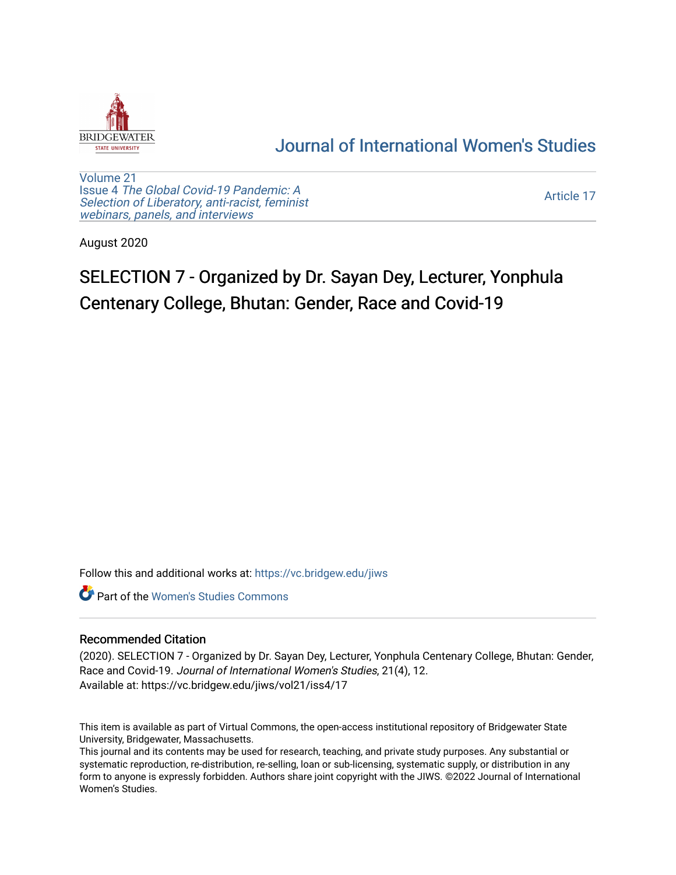

## [Journal of International Women's Studies](https://vc.bridgew.edu/jiws)

[Volume 21](https://vc.bridgew.edu/jiws/vol21) Issue 4 [The Global Covid-19 Pandemic: A](https://vc.bridgew.edu/jiws/vol21/iss4) [Selection of Liberatory, anti-racist, feminist](https://vc.bridgew.edu/jiws/vol21/iss4) [webinars, panels, and interviews](https://vc.bridgew.edu/jiws/vol21/iss4)

[Article 17](https://vc.bridgew.edu/jiws/vol21/iss4/17) 

August 2020

# SELECTION 7 - Organized by Dr. Sayan Dey, Lecturer, Yonphula Centenary College, Bhutan: Gender, Race and Covid-19

Follow this and additional works at: [https://vc.bridgew.edu/jiws](https://vc.bridgew.edu/jiws?utm_source=vc.bridgew.edu%2Fjiws%2Fvol21%2Fiss4%2F17&utm_medium=PDF&utm_campaign=PDFCoverPages)

**C** Part of the Women's Studies Commons

#### Recommended Citation

(2020). SELECTION 7 - Organized by Dr. Sayan Dey, Lecturer, Yonphula Centenary College, Bhutan: Gender, Race and Covid-19. Journal of International Women's Studies, 21(4), 12. Available at: https://vc.bridgew.edu/jiws/vol21/iss4/17

This item is available as part of Virtual Commons, the open-access institutional repository of Bridgewater State University, Bridgewater, Massachusetts.

This journal and its contents may be used for research, teaching, and private study purposes. Any substantial or systematic reproduction, re-distribution, re-selling, loan or sub-licensing, systematic supply, or distribution in any form to anyone is expressly forbidden. Authors share joint copyright with the JIWS. ©2022 Journal of International Women's Studies.